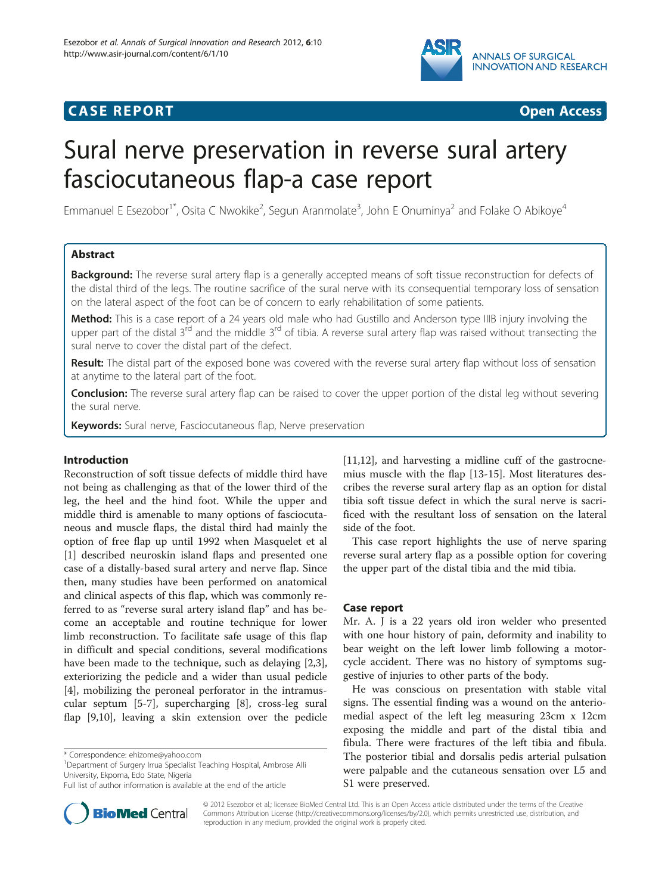

# **CASE REPORT CASE REPORT CASE ACCESS**



# Sural nerve preservation in reverse sural artery fasciocutaneous flap-a case report

Emmanuel E Esezobor<sup>1\*</sup>, Osita C Nwokike<sup>2</sup>, Segun Aranmolate<sup>3</sup>, John E Onuminya<sup>2</sup> and Folake O Abikoye<sup>4</sup>

# Abstract

Background: The reverse sural artery flap is a generally accepted means of soft tissue reconstruction for defects of the distal third of the legs. The routine sacrifice of the sural nerve with its consequential temporary loss of sensation on the lateral aspect of the foot can be of concern to early rehabilitation of some patients.

Method: This is a case report of a 24 years old male who had Gustillo and Anderson type IIIB injury involving the upper part of the distal  $3^{rd}$  and the middle  $3^{rd}$  of tibia. A reverse sural artery flap was raised without transecting the sural nerve to cover the distal part of the defect.

Result: The distal part of the exposed bone was covered with the reverse sural artery flap without loss of sensation at anytime to the lateral part of the foot.

Conclusion: The reverse sural artery flap can be raised to cover the upper portion of the distal leg without severing the sural nerve.

Keywords: Sural nerve, Fasciocutaneous flap, Nerve preservation

# Introduction

Reconstruction of soft tissue defects of middle third have not being as challenging as that of the lower third of the leg, the heel and the hind foot. While the upper and middle third is amenable to many options of fasciocutaneous and muscle flaps, the distal third had mainly the option of free flap up until 1992 when Masquelet et al [[1\]](#page-3-0) described neuroskin island flaps and presented one case of a distally-based sural artery and nerve flap. Since then, many studies have been performed on anatomical and clinical aspects of this flap, which was commonly referred to as "reverse sural artery island flap" and has become an acceptable and routine technique for lower limb reconstruction. To facilitate safe usage of this flap in difficult and special conditions, several modifications have been made to the technique, such as delaying [\[2,3](#page-3-0)], exteriorizing the pedicle and a wider than usual pedicle [[4\]](#page-3-0), mobilizing the peroneal perforator in the intramuscular septum [[5-7](#page-3-0)], supercharging [[8\]](#page-3-0), cross-leg sural flap [[9](#page-3-0),[10](#page-3-0)], leaving a skin extension over the pedicle

\* Correspondence: [ehizome@yahoo.com](mailto:ehizome@yahoo.com) <sup>1</sup>

<sup>1</sup>Department of Surgery Irrua Specialist Teaching Hospital, Ambrose Alli University, Ekpoma, Edo State, Nigeria



This case report highlights the use of nerve sparing reverse sural artery flap as a possible option for covering the upper part of the distal tibia and the mid tibia.

# Case report

Mr. A. J is a 22 years old iron welder who presented with one hour history of pain, deformity and inability to bear weight on the left lower limb following a motorcycle accident. There was no history of symptoms suggestive of injuries to other parts of the body.

He was conscious on presentation with stable vital signs. The essential finding was a wound on the anteriomedial aspect of the left leg measuring 23cm x 12cm exposing the middle and part of the distal tibia and fibula. There were fractures of the left tibia and fibula. The posterior tibial and dorsalis pedis arterial pulsation were palpable and the cutaneous sensation over L5 and S1 were preserved.



© 2012 Esezobor et al.; licensee BioMed Central Ltd. This is an Open Access article distributed under the terms of the Creative Commons Attribution License [\(http://creativecommons.org/licenses/by/2.0\)](http://creativecommons.org/licenses/by/2.0), which permits unrestricted use, distribution, and reproduction in any medium, provided the original work is properly cited.

Full list of author information is available at the end of the article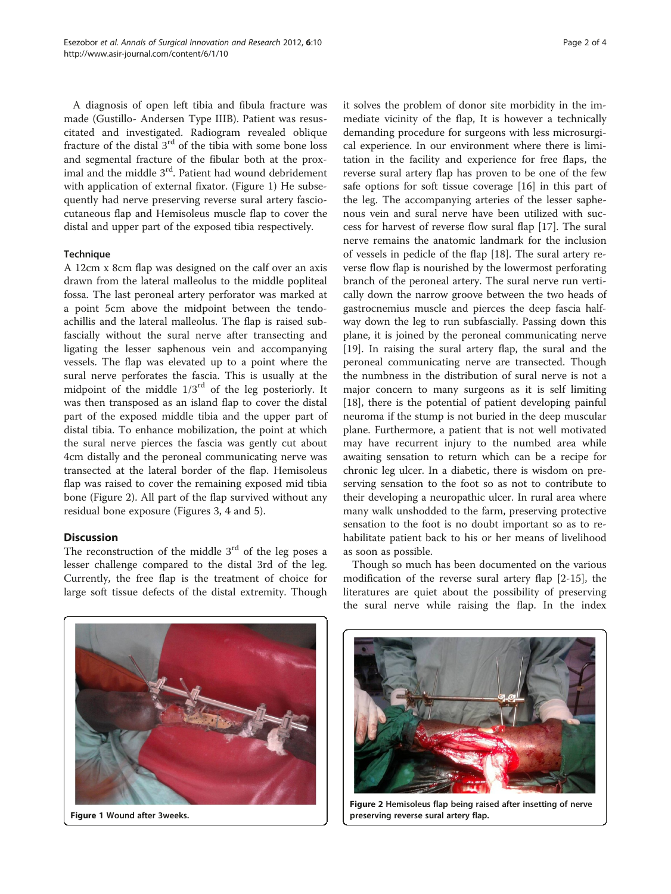A diagnosis of open left tibia and fibula fracture was made (Gustillo- Andersen Type IIIB). Patient was resuscitated and investigated. Radiogram revealed oblique fracture of the distal 3rd of the tibia with some bone loss and segmental fracture of the fibular both at the proximal and the middle 3<sup>rd</sup>. Patient had wound debridement with application of external fixator. (Figure 1) He subsequently had nerve preserving reverse sural artery fasciocutaneous flap and Hemisoleus muscle flap to cover the distal and upper part of the exposed tibia respectively.

### **Technique**

A 12cm x 8cm flap was designed on the calf over an axis drawn from the lateral malleolus to the middle popliteal fossa. The last peroneal artery perforator was marked at a point 5cm above the midpoint between the tendoachillis and the lateral malleolus. The flap is raised subfascially without the sural nerve after transecting and ligating the lesser saphenous vein and accompanying vessels. The flap was elevated up to a point where the sural nerve perforates the fascia. This is usually at the midpoint of the middle  $1/3<sup>rd</sup>$  of the leg posteriorly. It was then transposed as an island flap to cover the distal part of the exposed middle tibia and the upper part of distal tibia. To enhance mobilization, the point at which the sural nerve pierces the fascia was gently cut about 4cm distally and the peroneal communicating nerve was transected at the lateral border of the flap. Hemisoleus flap was raised to cover the remaining exposed mid tibia bone (Figure 2). All part of the flap survived without any residual bone exposure (Figures [3, 4](#page-2-0) and [5\)](#page-2-0).

# **Discussion**

The reconstruction of the middle  $3<sup>rd</sup>$  of the leg poses a lesser challenge compared to the distal 3rd of the leg. Currently, the free flap is the treatment of choice for large soft tissue defects of the distal extremity. Though it solves the problem of donor site morbidity in the immediate vicinity of the flap, It is however a technically demanding procedure for surgeons with less microsurgical experience. In our environment where there is limitation in the facility and experience for free flaps, the reverse sural artery flap has proven to be one of the few safe options for soft tissue coverage [[16](#page-3-0)] in this part of the leg. The accompanying arteries of the lesser saphenous vein and sural nerve have been utilized with success for harvest of reverse flow sural flap [[17\]](#page-3-0). The sural nerve remains the anatomic landmark for the inclusion of vessels in pedicle of the flap [\[18\]](#page-3-0). The sural artery reverse flow flap is nourished by the lowermost perforating branch of the peroneal artery. The sural nerve run vertically down the narrow groove between the two heads of gastrocnemius muscle and pierces the deep fascia halfway down the leg to run subfascially. Passing down this plane, it is joined by the peroneal communicating nerve [[19\]](#page-3-0). In raising the sural artery flap, the sural and the peroneal communicating nerve are transected. Though the numbness in the distribution of sural nerve is not a major concern to many surgeons as it is self limiting [[18\]](#page-3-0), there is the potential of patient developing painful neuroma if the stump is not buried in the deep muscular plane. Furthermore, a patient that is not well motivated may have recurrent injury to the numbed area while awaiting sensation to return which can be a recipe for chronic leg ulcer. In a diabetic, there is wisdom on preserving sensation to the foot so as not to contribute to their developing a neuropathic ulcer. In rural area where many walk unshodded to the farm, preserving protective sensation to the foot is no doubt important so as to rehabilitate patient back to his or her means of livelihood as soon as possible.

Though so much has been documented on the various modification of the reverse sural artery flap [[2-15](#page-3-0)], the literatures are quiet about the possibility of preserving the sural nerve while raising the flap. In the index

Figure 1 Wound after 3weeks.



Figure 2 Hemisoleus flap being raised after insetting of nerve preserving reverse sural artery flap.

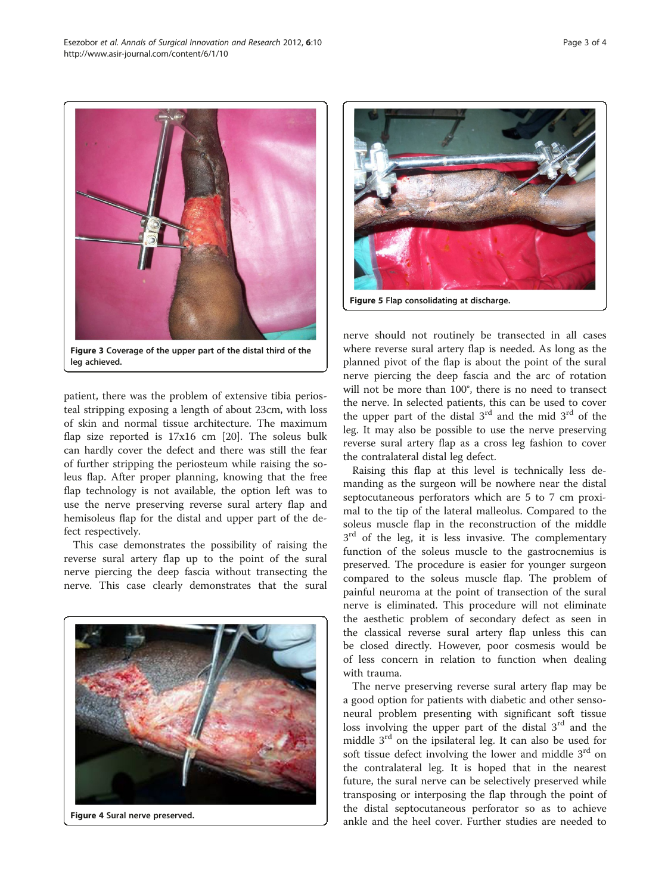<span id="page-2-0"></span>

Figure 3 Coverage of the upper part of the distal third of the leg achieved.

patient, there was the problem of extensive tibia periosteal stripping exposing a length of about 23cm, with loss of skin and normal tissue architecture. The maximum flap size reported is 17x16 cm [\[20](#page-3-0)]. The soleus bulk can hardly cover the defect and there was still the fear of further stripping the periosteum while raising the soleus flap. After proper planning, knowing that the free flap technology is not available, the option left was to use the nerve preserving reverse sural artery flap and hemisoleus flap for the distal and upper part of the defect respectively.

This case demonstrates the possibility of raising the reverse sural artery flap up to the point of the sural nerve piercing the deep fascia without transecting the nerve. This case clearly demonstrates that the sural



Figure 4 Sural nerve preserved.



nerve should not routinely be transected in all cases where reverse sural artery flap is needed. As long as the planned pivot of the flap is about the point of the sural nerve piercing the deep fascia and the arc of rotation will not be more than 100°, there is no need to transect the nerve. In selected patients, this can be used to cover the upper part of the distal  $3<sup>rd</sup>$  and the mid  $3<sup>rd</sup>$  of the leg. It may also be possible to use the nerve preserving reverse sural artery flap as a cross leg fashion to cover the contralateral distal leg defect.

Raising this flap at this level is technically less demanding as the surgeon will be nowhere near the distal septocutaneous perforators which are 5 to 7 cm proximal to the tip of the lateral malleolus. Compared to the soleus muscle flap in the reconstruction of the middle  $3<sup>rd</sup>$  of the leg, it is less invasive. The complementary function of the soleus muscle to the gastrocnemius is preserved. The procedure is easier for younger surgeon compared to the soleus muscle flap. The problem of painful neuroma at the point of transection of the sural nerve is eliminated. This procedure will not eliminate the aesthetic problem of secondary defect as seen in the classical reverse sural artery flap unless this can be closed directly. However, poor cosmesis would be of less concern in relation to function when dealing with trauma.

The nerve preserving reverse sural artery flap may be a good option for patients with diabetic and other sensoneural problem presenting with significant soft tissue loss involving the upper part of the distal  $3<sup>rd</sup>$  and the middle  $3<sup>rd</sup>$  on the ipsilateral leg. It can also be used for soft tissue defect involving the lower and middle  $3<sup>rd</sup>$  on the contralateral leg. It is hoped that in the nearest future, the sural nerve can be selectively preserved while transposing or interposing the flap through the point of the distal septocutaneous perforator so as to achieve ankle and the heel cover. Further studies are needed to